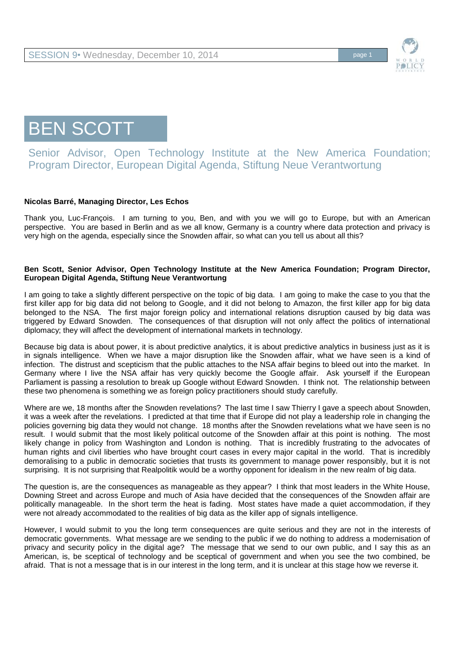

BEN SCOTT

Senior Advisor, Open Technology Institute at the New America Foundation; Program Director, European Digital Agenda, Stiftung Neue Verantwortung

## **Nicolas Barré, Managing Director, Les Echos**

Thank you, Luc-François. I am turning to you, Ben, and with you we will go to Europe, but with an American perspective. You are based in Berlin and as we all know, Germany is a country where data protection and privacy is very high on the agenda, especially since the Snowden affair, so what can you tell us about all this?

## **Ben Scott, Senior Advisor, Open Technology Institute at the New America Foundation; Program Director, European Digital Agenda, Stiftung Neue Verantwortung**

I am going to take a slightly different perspective on the topic of big data. I am going to make the case to you that the first killer app for big data did not belong to Google, and it did not belong to Amazon, the first killer app for big data belonged to the NSA. The first major foreign policy and international relations disruption caused by big data was triggered by Edward Snowden. The consequences of that disruption will not only affect the politics of international diplomacy; they will affect the development of international markets in technology.

Because big data is about power, it is about predictive analytics, it is about predictive analytics in business just as it is in signals intelligence. When we have a major disruption like the Snowden affair, what we have seen is a kind of infection. The distrust and scepticism that the public attaches to the NSA affair begins to bleed out into the market. In Germany where I live the NSA affair has very quickly become the Google affair. Ask yourself if the European Parliament is passing a resolution to break up Google without Edward Snowden. I think not. The relationship between these two phenomena is something we as foreign policy practitioners should study carefully.

Where are we, 18 months after the Snowden revelations? The last time I saw Thierry I gave a speech about Snowden, it was a week after the revelations. I predicted at that time that if Europe did not play a leadership role in changing the policies governing big data they would not change. 18 months after the Snowden revelations what we have seen is no result. I would submit that the most likely political outcome of the Snowden affair at this point is nothing. The most likely change in policy from Washington and London is nothing. That is incredibly frustrating to the advocates of human rights and civil liberties who have brought court cases in every major capital in the world. That is incredibly demoralising to a public in democratic societies that trusts its government to manage power responsibly, but it is not surprising. It is not surprising that Realpolitik would be a worthy opponent for idealism in the new realm of big data.

The question is, are the consequences as manageable as they appear? I think that most leaders in the White House, Downing Street and across Europe and much of Asia have decided that the consequences of the Snowden affair are politically manageable. In the short term the heat is fading. Most states have made a quiet accommodation, if they were not already accommodated to the realities of big data as the killer app of signals intelligence.

However, I would submit to you the long term consequences are quite serious and they are not in the interests of democratic governments. What message are we sending to the public if we do nothing to address a modernisation of privacy and security policy in the digital age? The message that we send to our own public, and I say this as an American, is, be sceptical of technology and be sceptical of government and when you see the two combined, be afraid. That is not a message that is in our interest in the long term, and it is unclear at this stage how we reverse it.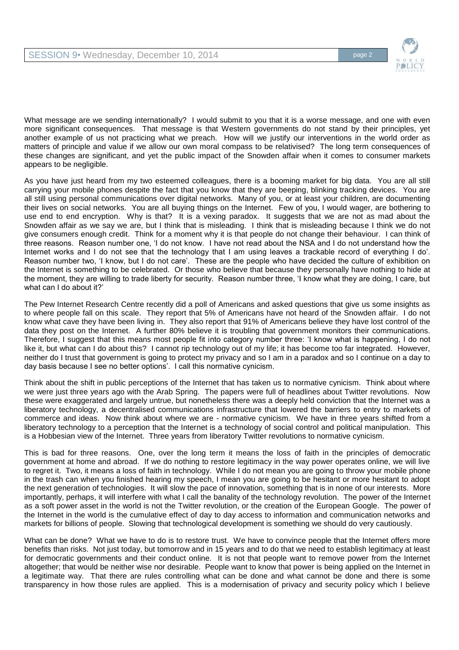

What message are we sending internationally? I would submit to you that it is a worse message, and one with even more significant consequences. That message is that Western governments do not stand by their principles, yet another example of us not practicing what we preach. How will we justify our interventions in the world order as matters of principle and value if we allow our own moral compass to be relativised? The long term consequences of these changes are significant, and yet the public impact of the Snowden affair when it comes to consumer markets appears to be negligible.

As you have just heard from my two esteemed colleagues, there is a booming market for big data. You are all still carrying your mobile phones despite the fact that you know that they are beeping, blinking tracking devices. You are all still using personal communications over digital networks. Many of you, or at least your children, are documenting their lives on social networks. You are all buying things on the Internet. Few of you, I would wager, are bothering to use end to end encryption. Why is that? It is a vexing paradox. It suggests that we are not as mad about the Snowden affair as we say we are, but I think that is misleading. I think that is misleading because I think we do not give consumers enough credit. Think for a moment why it is that people do not change their behaviour. I can think of three reasons. Reason number one, 'I do not know. I have not read about the NSA and I do not understand how the Internet works and I do not see that the technology that I am using leaves a trackable record of everything I do'. Reason number two, 'I know, but I do not care'. These are the people who have decided the culture of exhibition on the Internet is something to be celebrated. Or those who believe that because they personally have nothing to hide at the moment, they are willing to trade liberty for security. Reason number three, 'I know what they are doing, I care, but what can I do about it?'

The Pew Internet Research Centre recently did a poll of Americans and asked questions that give us some insights as to where people fall on this scale. They report that 5% of Americans have not heard of the Snowden affair. I do not know what cave they have been living in. They also report that 91% of Americans believe they have lost control of the data they post on the Internet. A further 80% believe it is troubling that government monitors their communications. Therefore, I suggest that this means most people fit into category number three: 'I know what is happening, I do not like it, but what can I do about this? I cannot rip technology out of my life; it has become too far integrated. However, neither do I trust that government is going to protect my privacy and so I am in a paradox and so I continue on a day to day basis because I see no better options'. I call this normative cynicism.

Think about the shift in public perceptions of the Internet that has taken us to normative cynicism. Think about where we were just three years ago with the Arab Spring. The papers were full of headlines about Twitter revolutions. Now these were exaggerated and largely untrue, but nonetheless there was a deeply held conviction that the Internet was a liberatory technology, a decentralised communications infrastructure that lowered the barriers to entry to markets of commerce and ideas. Now think about where we are - normative cynicism. We have in three years shifted from a liberatory technology to a perception that the Internet is a technology of social control and political manipulation. This is a Hobbesian view of the Internet. Three years from liberatory Twitter revolutions to normative cynicism.

This is bad for three reasons. One, over the long term it means the loss of faith in the principles of democratic government at home and abroad. If we do nothing to restore legitimacy in the way power operates online, we will live to regret it. Two, it means a loss of faith in technology. While I do not mean you are going to throw your mobile phone in the trash can when you finished hearing my speech, I mean you are going to be hesitant or more hesitant to adopt the next generation of technologies. It will slow the pace of innovation, something that is in none of our interests. More importantly, perhaps, it will interfere with what I call the banality of the technology revolution. The power of the Internet as a soft power asset in the world is not the Twitter revolution, or the creation of the European Google. The power of the Internet in the world is the cumulative effect of day to day access to information and communication networks and markets for billions of people. Slowing that technological development is something we should do very cautiously.

What can be done? What we have to do is to restore trust. We have to convince people that the Internet offers more benefits than risks. Not just today, but tomorrow and in 15 years and to do that we need to establish legitimacy at least for democratic governments and their conduct online. It is not that people want to remove power from the Internet altogether; that would be neither wise nor desirable. People want to know that power is being applied on the Internet in a legitimate way. That there are rules controlling what can be done and what cannot be done and there is some transparency in how those rules are applied. This is a modernisation of privacy and security policy which I believe